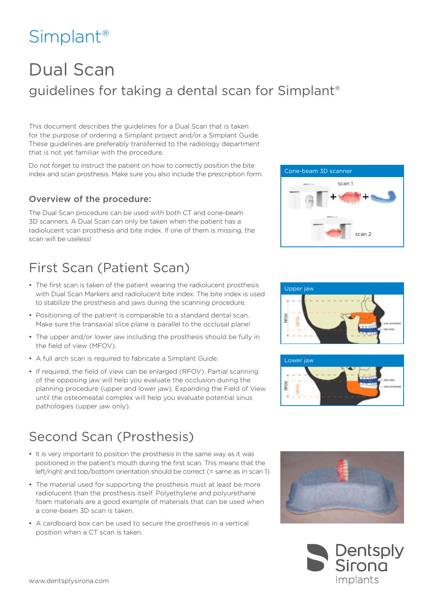# Simplant®

## Dual Scan guidelines for taking a dental scan for Simplant®

This document describes the guidelines for a Dual Scan that is taken for the purpose of ordering a Simplant project and/or a Simplant Guide. These guidelines are preferably transferred to the radiology department that is not yet familiar with the procedure.

Do not forget to instruct the patient on how to correctly position the bite index and scan prosthesis. Make sure you also include the prescription form.

#### Overview of the procedure:

The Dual Scan procedure can be used with both CT and cone-beam 3D scanners. A Dual Scan can only be taken when the patient has a radiolucent scan prosthesis and bite index. If one of them is missing, the scan will be useless!

### First Scan (Patient Scan)

- The first scan is taken of the patient wearing the radiolucent prosthesis with Dual Scan Markers and radiolucent bite index. The bite index is used to stabilize the prosthesis and jaws during the scanning procedure.
- Positioning of the patient is comparable to a standard dental scan. Make sure the transaxial slice plane is parallel to the occlusal plane!
- The upper and/or lower jaw including the prosthesis should be fully in the field of view (MFOV).
- A full arch scan is required to fabricate a Simplant Guide.
- If required, the field of view can be enlarged (RFOV). Partial scanning of the opposing jaw will help you evaluate the occlusion during the planning procedure (upper and lower jaw). Expanding the Field of View until the osteomeatal complex will help you evaluate potential sinus pathologies (upper jaw only).

### Second Scan (Prosthesis)

- It is very important to position the prosthesis in the same way as it was positioned in the patient's mouth during the first scan. This means that the left/right and top/bottom orientation should be correct (= same as in scan 1).
- The material used for supporting the prosthesis must at least be more radiolucent than the prosthesis itself. Polyethylene and polyurethane foam materials are a good example of materials that can be used when a cone-beam 3D scan is taken.
- A cardboard box can be used to secure the prosthesis in a vertical position when a CT scan is taken.